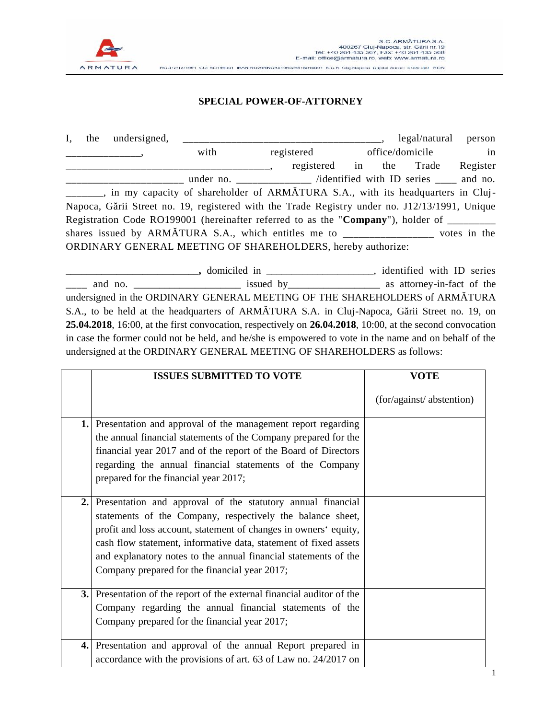

## **SPECIAL POWER-OF-ATTORNEY**

| $I_{\star}$ | the undersigned, |                                                                                               |                               |  | legal/natural | person   |
|-------------|------------------|-----------------------------------------------------------------------------------------------|-------------------------------|--|---------------|----------|
|             |                  | with                                                                                          | registered<br>office/domicile |  | in            |          |
|             |                  |                                                                                               | registered in the Trade       |  |               | Register |
|             |                  | under no. ___________ /identified with ID series ___ and no.                                  |                               |  |               |          |
|             |                  | ______, in my capacity of shareholder of ARM TURA S.A., with its headquarters in Cluj-        |                               |  |               |          |
|             |                  | Napoca, G rii Street no. 19, registered with the Trade Registry under no. J12/13/1991, Unique |                               |  |               |          |
|             |                  | Registration Code RO199001 (hereinafter referred to as the "Company"), holder of ________     |                               |  |               |          |
|             |                  |                                                                                               |                               |  |               |          |
|             |                  | ORDINARY GENERAL MEETING OF SHAREHOLDERS, hereby authorize:                                   |                               |  |               |          |

**\_\_\_\_\_\_\_\_\_\_\_\_\_\_\_\_\_\_\_\_\_\_\_\_\_\_,** domiciled in \_\_\_\_\_\_\_\_\_\_\_\_\_\_\_\_\_\_\_\_\_, identified with ID series \_\_\_\_ and no. \_\_\_\_\_\_\_\_\_\_\_\_\_\_\_\_\_\_\_\_\_ issued by\_\_\_\_\_\_\_\_\_\_\_\_\_\_\_\_\_\_ as attorney-in-fact of the undersigned in the ORDINARY GENERAL MEETING OF THE SHAREHOLDERS of ARM TURA S.A., to be held at the headquarters of ARM TURA S.A. in Cluj-Napoca, G rii Street no. 19, on **25.04.2018**, 16:00, at the first convocation, respectively on **26.04.2018**, 10:00, at the second convocation in case the former could not be held, and he/she is empowered to vote in the name and on behalf of the undersigned at the ORDINARY GENERAL MEETING OF SHAREHOLDERS as follows:

|     | <b>ISSUES SUBMITTED TO VOTE</b>                                                                                                                                                                                                                                                                                                                                                       | <b>VOTE</b>              |  |  |
|-----|---------------------------------------------------------------------------------------------------------------------------------------------------------------------------------------------------------------------------------------------------------------------------------------------------------------------------------------------------------------------------------------|--------------------------|--|--|
|     |                                                                                                                                                                                                                                                                                                                                                                                       | (for/against/abstention) |  |  |
|     | 1. Presentation and approval of the management report regarding<br>the annual financial statements of the Company prepared for the<br>financial year 2017 and of the report of the Board of Directors<br>regarding the annual financial statements of the Company<br>prepared for the financial year 2017;                                                                            |                          |  |  |
| 2.1 | Presentation and approval of the statutory annual financial<br>statements of the Company, respectively the balance sheet,<br>profit and loss account, statement of changes in owners' equity,<br>cash flow statement, informative data, statement of fixed assets<br>and explanatory notes to the annual financial statements of the<br>Company prepared for the financial year 2017; |                          |  |  |
|     | <b>3.</b> Presentation of the report of the external financial auditor of the<br>Company regarding the annual financial statements of the<br>Company prepared for the financial year 2017;                                                                                                                                                                                            |                          |  |  |
|     | 4. Presentation and approval of the annual Report prepared in<br>accordance with the provisions of art. 63 of Law no. 24/2017 on                                                                                                                                                                                                                                                      |                          |  |  |